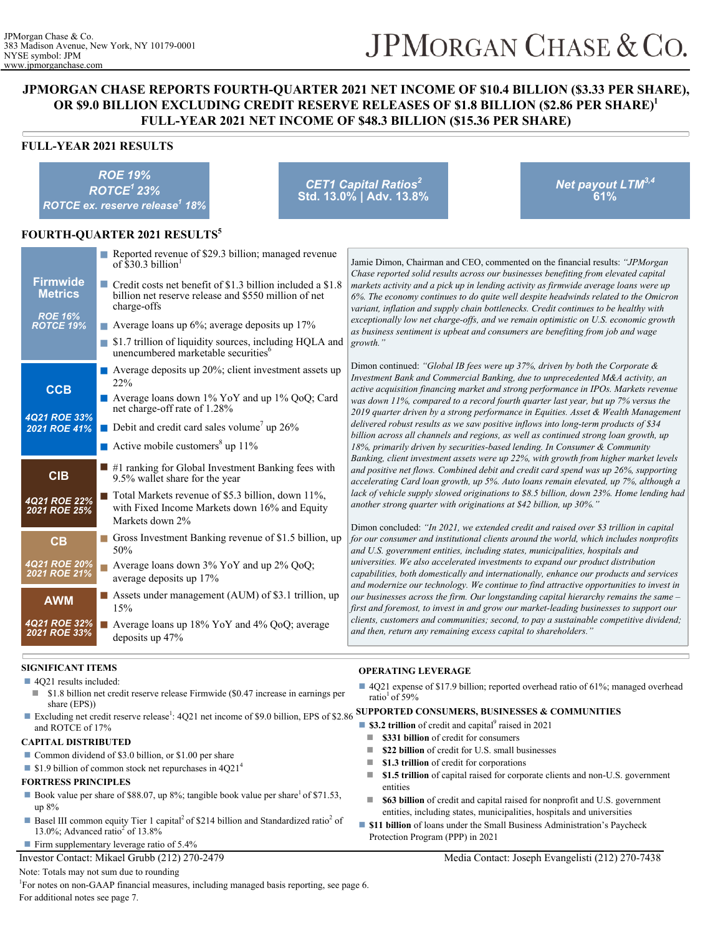# JPMORGAN CHASE & CO.

# **JPMORGAN CHASE REPORTS FOURTH-QUARTER 2021 NET INCOME OF \$10.4 BILLION (\$3.33 PER SHARE), OR \$9.0 BILLION EXCLUDING CREDIT RESERVE RELEASES OF \$1.8 BILLION (\$2.86 PER SHARE)<sup>1</sup> FULL-YEAR 2021 NET INCOME OF \$48.3 BILLION (\$15.36 PER SHARE)**

## **FULL-YEAR 2021 RESULTS**

*ROE 19% ROTCE<sup>1</sup>23% ROTCE ex. reserve release<sup>1</sup> 18% CET1 Capital Ratios<sup>2</sup>* **Std. 13.0% | Adv. 13.8%** *Net payout LTM3,4* **61% FOURTH-QUARTER 2021 RESULTS<sup>5</sup> Firmwide Metrics** *ROE 16% ROTCE 19%* Reported revenue of \$29.3 billion; managed revenue of \$30.3 billion  $\blacksquare$  Credit costs net benefit of \$1.3 billion included a \$1.8 billion net reserve release and \$550 million of net charge-offs ■ Average loans up 6%; average deposits up 17% ■ \$1.7 trillion of liquidity sources, including HQLA and unencumbered marketable securities<sup>6</sup> **CCB** *4Q21 ROE 33% 2021 ROE 41%*  $\blacksquare$  Average deposits up 20%; client investment assets up 22% ■ Average loans down 1% YoY and up 1% QoQ; Card net charge-off rate of 1.28% Debit and credit card sales volume<sup>7</sup> up  $26\%$ Active mobile customers<sup>8</sup> up  $11\%$ **CIB** *4Q21 ROE 22% 2021 ROE 25%*  $\blacksquare$  #1 ranking for Global Investment Banking fees with 9.5% wallet share for the year  $\blacksquare$  Total Markets revenue of \$5.3 billion, down 11%, with Fixed Income Markets down 16% and Equity Markets down 2% **CB** *4Q21 ROE 20% 2021 ROE 21%* ■ Gross Investment Banking revenue of \$1.5 billion, up 50% ■ Average loans down 3% YoY and up 2% QoQ; average deposits up 17% **AWM** *4Q21 ROE 32% 2021 ROE 33%* Assets under management (AUM) of \$3.1 trillion, up 15%  $\blacksquare$  Average loans up 18% YoY and 4% QoQ; average deposits up 47% Jamie Dimon, Chairman and CEO, commented on the financial results: *"JPMorgan Chase reported solid results across our businesses benefiting from elevated capital markets activity and a pick up in lending activity as firmwide average loans were up 6%. The economy continues to do quite well despite headwinds related to the Omicron variant, inflation and supply chain bottlenecks. Credit continues to be healthy with exceptionally low net charge-offs, and we remain optimistic on U.S. economic growth as business sentiment is upbeat and consumers are benefiting from job and wage growth."* Dimon continued: *"Global IB fees were up 37%, driven by both the Corporate & Investment Bank and Commercial Banking, due to unprecedented M&A activity, an active acquisition financing market and strong performance in IPOs. Markets revenue was down 11%, compared to a record fourth quarter last year, but up 7% versus the 2019 quarter driven by a strong performance in Equities. Asset & Wealth Management delivered robust results as we saw positive inflows into long-term products of \$34 billion across all channels and regions, as well as continued strong loan growth, up 18%, primarily driven by securities-based lending. In Consumer & Community Banking, client investment assets were up 22%, with growth from higher market levels and positive net flows. Combined debit and credit card spend was up 26%, supporting accelerating Card loan growth, up 5%. Auto loans remain elevated, up 7%, although a lack of vehicle supply slowed originations to \$8.5 billion, down 23%. Home lending had another strong quarter with originations at \$42 billion, up 30%."* Dimon concluded: *"In 2021, we extended credit and raised over \$3 trillion in capital for our consumer and institutional clients around the world, which includes nonprofits and U.S. government entities, including states, municipalities, hospitals and universities. We also accelerated investments to expand our product distribution capabilities, both domestically and internationally, enhance our products and services and modernize our technology. We continue to find attractive opportunities to invest in our businesses across the firm. Our longstanding capital hierarchy remains the same – first and foremost, to invest in and grow our market-leading businesses to support our clients, customers and communities; second, to pay a sustainable competitive dividend; and then, return any remaining excess capital to shareholders."*

# **SIGNIFICANT ITEMS**

■ 4Q21 results included:

- \$1.8 billion net credit reserve release Firmwide (\$0.47 increase in earnings per share (EPS))
- and ROTCE of 17%

#### **CAPITAL DISTRIBUTED**

- Common dividend of \$3.0 billion, or \$1.00 per share
- $\blacksquare$  \$1.9 billion of common stock net repurchases in 4Q21<sup>4</sup>

#### **FORTRESS PRINCIPLES**

- Book value per share of \$88.07, up 8%; tangible book value per share<sup>1</sup> of \$71.53, up 8%
- Basel III common equity Tier 1 capital<sup>2</sup> of \$214 billion and Standardized ratio<sup>2</sup> of 13.0%; Advanced ratio<sup>2</sup> of 13.8%

#### Firm supplementary leverage ratio of  $5.4\%$

Investor Contact: Mikael Grubb (212) 270-2479

## Note: Totals may not sum due to rounding

<sup>1</sup>For notes on non-GAAP financial measures, including managed basis reporting, see page 6. For additional notes see page 7.

#### **OPERATING LEVERAGE**

- 4Q21 expense of \$17.9 billion; reported overhead ratio of 61%; managed overhead ratio<sup>1</sup> of 59%
- Excluding net credit reserve release<sup>1</sup>: 4Q21 net income of \$9.0 billion, EPS of \$2.86 **SUPPORTED CONSUMERS, BUSINESSES & COMMUNITIES** ■ \$3.2 trillion of credit and capital<sup>9</sup> raised in 2021
	- $\blacksquare$  **\$331 billion** of credit for consumers
	- $\blacksquare$  **\$22 billion** of credit for U.S. small businesses
	- **1.3 trillion** of credit for corporations
	- **1.5 trillion** of capital raised for corporate clients and non-U.S. government entities
	- **\$63 billion** of credit and capital raised for nonprofit and U.S. government entities, including states, municipalities, hospitals and universities
	- **s11 billion** of loans under the Small Business Administration's Paycheck Protection Program (PPP) in 2021

#### Media Contact: Joseph Evangelisti (212) 270-7438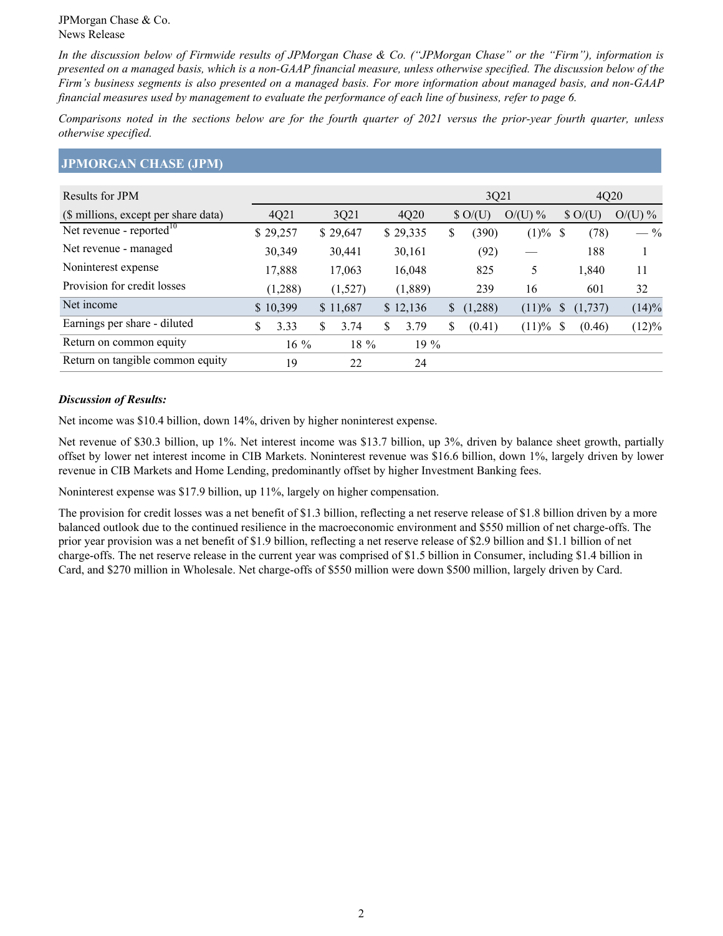*In the discussion below of Firmwide results of JPMorgan Chase & Co. ("JPMorgan Chase" or the "Firm"), information is presented on a managed basis, which is a non-GAAP financial measure, unless otherwise specified. The discussion below of the Firm's business segments is also presented on a managed basis. For more information about managed basis, and non-GAAP financial measures used by management to evaluate the performance of each line of business, refer to page 6.*

*Comparisons noted in the sections below are for the fourth quarter of 2021 versus the prior-year fourth quarter, unless otherwise specified.*

## **JPMORGAN CHASE (JPM)**

| Results for JPM                      |            |            |   |          | 3Q21             |          |               | 4Q20           |                         |
|--------------------------------------|------------|------------|---|----------|------------------|----------|---------------|----------------|-------------------------|
| (\$ millions, except per share data) | 4Q21       | 3Q21       |   | 4Q20     | $\text{\$O/(U)}$ | $O(U)$ % |               | $\text{SO}(U)$ | $O/(\theta)$<br>$(U)$ % |
| Net revenue - reported $10$          | \$29,257   | \$29,647   |   | \$29,335 | \$<br>(390)      | (1)%     | -S            | (78)           | $-$ %                   |
| Net revenue - managed                | 30,349     | 30,441     |   | 30,161   | (92)             |          |               | 188            |                         |
| Noninterest expense                  | 17,888     | 17,063     |   | 16,048   | 825              | 5        |               | 1,840          | 11                      |
| Provision for credit losses          | (1,288)    | (1,527)    |   | (1,889)  | 239              | 16       |               | 601            | 32                      |
| Net income                           | \$10,399   | \$11,687   |   | \$12,136 | \$<br>(1,288)    | (11)%    | <sup>\$</sup> | (1,737)        | (14)%                   |
| Earnings per share - diluted         | \$<br>3.33 | \$<br>3.74 | S | 3.79     | \$<br>(0.41)     | (11)%    | -S            | (0.46)         | $(12)\%$                |
| Return on common equity              | $16\%$     | $18\%$     |   | $19\%$   |                  |          |               |                |                         |
| Return on tangible common equity     | 19         | 22         |   | 24       |                  |          |               |                |                         |

## *Discussion of Results:*

Net income was \$10.4 billion, down 14%, driven by higher noninterest expense.

Net revenue of \$30.3 billion, up 1%. Net interest income was \$13.7 billion, up 3%, driven by balance sheet growth, partially offset by lower net interest income in CIB Markets. Noninterest revenue was \$16.6 billion, down 1%, largely driven by lower revenue in CIB Markets and Home Lending, predominantly offset by higher Investment Banking fees.

Noninterest expense was \$17.9 billion, up 11%, largely on higher compensation.

The provision for credit losses was a net benefit of \$1.3 billion, reflecting a net reserve release of \$1.8 billion driven by a more balanced outlook due to the continued resilience in the macroeconomic environment and \$550 million of net charge-offs. The prior year provision was a net benefit of \$1.9 billion, reflecting a net reserve release of \$2.9 billion and \$1.1 billion of net charge-offs. The net reserve release in the current year was comprised of \$1.5 billion in Consumer, including \$1.4 billion in Card, and \$270 million in Wholesale. Net charge-offs of \$550 million were down \$500 million, largely driven by Card.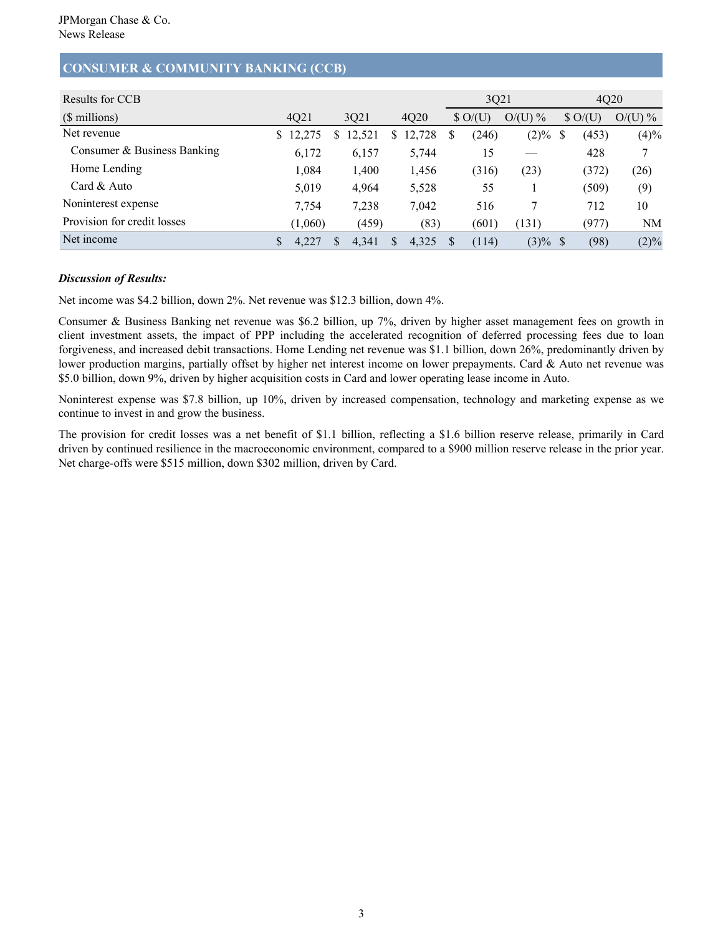# **CONSUMER & COMMUNITY BANKING (CCB)**

| Results for CCB             |              |   |        |    |        |          | 3Q21             |           | 4Q20 |                  |           |  |
|-----------------------------|--------------|---|--------|----|--------|----------|------------------|-----------|------|------------------|-----------|--|
| (\$ millions)               | 4Q21         |   | 3Q21   |    | 4Q20   |          | $\text{S}$ O/(U) | $O/(U)$ % |      | $\text{S}$ O/(U) | $O/(U)$ % |  |
| Net revenue                 | 12,275<br>S. | S | 12,521 | \$ | 12,728 | S        | (246)            | $(2)\%$   | S    | (453)            | (4)%      |  |
| Consumer & Business Banking | 6,172        |   | 6,157  |    | 5,744  |          | 15               |           |      | 428              | 7         |  |
| Home Lending                | 1,084        |   | 1,400  |    | 1,456  |          | (316)            | (23)      |      | (372)            | (26)      |  |
| Card & Auto                 | 5,019        |   | 4,964  |    | 5,528  |          | 55               |           |      | (509)            | (9)       |  |
| Noninterest expense         | 7,754        |   | 7,238  |    | 7,042  |          | 516              |           |      | 712              | 10        |  |
| Provision for credit losses | (1,060)      |   | (459)  |    | (83)   |          | (601)            | (131)     |      | (977)            | NM        |  |
| Net income                  | 4,227        | S | 4,341  | S  | 4,325  | <b>S</b> | (114)            | $(3)\%$   | -S   | (98)             | (2)%      |  |

## *Discussion of Results:*

Net income was \$4.2 billion, down 2%. Net revenue was \$12.3 billion, down 4%.

Consumer & Business Banking net revenue was \$6.2 billion, up 7%, driven by higher asset management fees on growth in client investment assets, the impact of PPP including the accelerated recognition of deferred processing fees due to loan forgiveness, and increased debit transactions. Home Lending net revenue was \$1.1 billion, down 26%, predominantly driven by lower production margins, partially offset by higher net interest income on lower prepayments. Card & Auto net revenue was \$5.0 billion, down 9%, driven by higher acquisition costs in Card and lower operating lease income in Auto.

Noninterest expense was \$7.8 billion, up 10%, driven by increased compensation, technology and marketing expense as we continue to invest in and grow the business.

The provision for credit losses was a net benefit of \$1.1 billion, reflecting a \$1.6 billion reserve release, primarily in Card driven by continued resilience in the macroeconomic environment, compared to a \$900 million reserve release in the prior year. Net charge-offs were \$515 million, down \$302 million, driven by Card.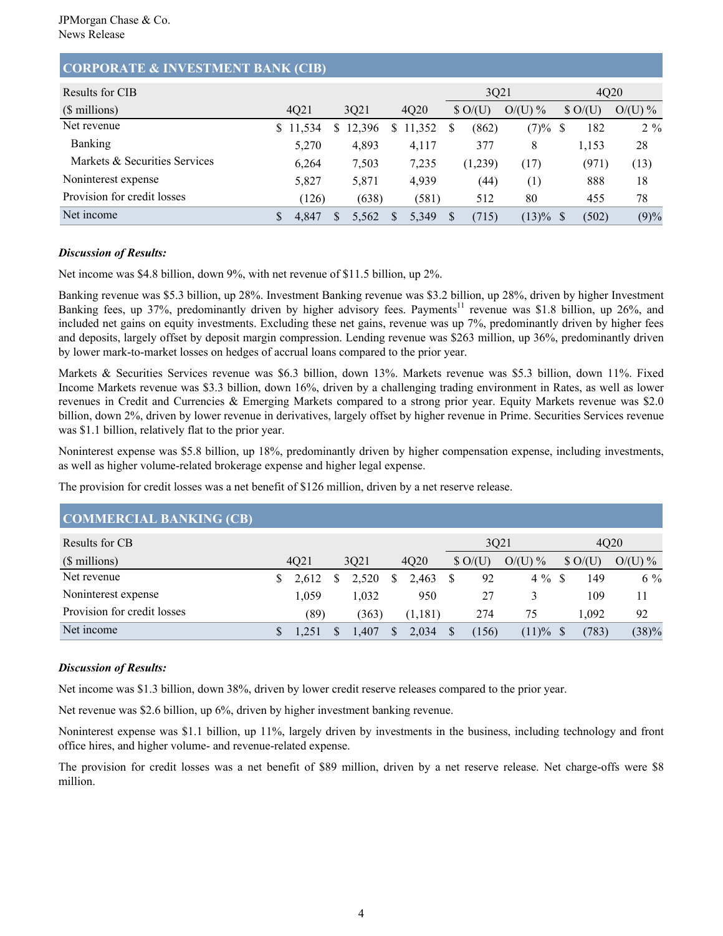# **CORPORATE & INVESTMENT BANK (CIB)**

| Results for CIB               |        |     |        |     |        | 3021     |                                    |           |    | 4020           |           |  |  |
|-------------------------------|--------|-----|--------|-----|--------|----------|------------------------------------|-----------|----|----------------|-----------|--|--|
| (\$ millions)                 | 4Q21   |     | 3021   |     | 4Q20   |          | $\text{\$\Omega$}/\text{\$\U{U}$}$ | $O/(U)$ % |    | $\text{SO}(U)$ | $O/(U)$ % |  |  |
| Net revenue                   | 11,534 | S   | 12,396 | \$  | 11,352 | S        | (862)                              | (7)%      | -S | 182            | $2\%$     |  |  |
| <b>Banking</b>                | 5,270  |     | 4,893  |     | 4,117  |          | 377                                | 8         |    | 1,153          | 28        |  |  |
| Markets & Securities Services | 6.264  |     | 7,503  |     | 7,235  |          | (1,239)                            | (17)      |    | (971)          | (13)      |  |  |
| Noninterest expense           | 5,827  |     | 5,871  |     | 4,939  |          | (44)                               | (1)       |    | 888            | 18        |  |  |
| Provision for credit losses   | (126)  |     | (638)  |     | (581)  |          | 512                                | 80        |    | 455            | 78        |  |  |
| Net income                    | 4,847  | \$. | 5,562  | \$. | 5,349  | <b>S</b> | (715)                              | (13)%     |    | (502)          | (9)%      |  |  |

### *Discussion of Results:*

Net income was \$4.8 billion, down 9%, with net revenue of \$11.5 billion, up 2%.

Banking revenue was \$5.3 billion, up 28%. Investment Banking revenue was \$3.2 billion, up 28%, driven by higher Investment Banking fees, up 37%, predominantly driven by higher advisory fees. Payments<sup>11</sup> revenue was \$1.8 billion, up 26%, and included net gains on equity investments. Excluding these net gains, revenue was up 7%, predominantly driven by higher fees and deposits, largely offset by deposit margin compression. Lending revenue was \$263 million, up 36%, predominantly driven by lower mark-to-market losses on hedges of accrual loans compared to the prior year.

Markets & Securities Services revenue was \$6.3 billion, down 13%. Markets revenue was \$5.3 billion, down 11%. Fixed Income Markets revenue was \$3.3 billion, down 16%, driven by a challenging trading environment in Rates, as well as lower revenues in Credit and Currencies & Emerging Markets compared to a strong prior year. Equity Markets revenue was \$2.0 billion, down 2%, driven by lower revenue in derivatives, largely offset by higher revenue in Prime. Securities Services revenue was \$1.1 billion, relatively flat to the prior year.

Noninterest expense was \$5.8 billion, up 18%, predominantly driven by higher compensation expense, including investments, as well as higher volume-related brokerage expense and higher legal expense.

The provision for credit losses was a net benefit of \$126 million, driven by a net reserve release.

| $\mathbf{C}$                |  |       |    |       |    |         |  |                |           |      |                  |           |
|-----------------------------|--|-------|----|-------|----|---------|--|----------------|-----------|------|------------------|-----------|
| Results for CB              |  |       |    |       |    |         |  | 3Q21           |           | 4020 |                  |           |
| $(S$ millions)              |  | 4021  |    | 3021  |    | 4Q20    |  | $\text{SO}(U)$ | $O/(U)$ % |      | $\text{S}$ O/(U) | $O/(U)$ % |
| Net revenue                 |  | 2,612 | \$ | 2,520 | S  | 2,463   |  | 92             | $4\%$     |      | 149              | $6\%$     |
| Noninterest expense         |  | 1.059 |    | .032  |    | 950     |  | 27             |           |      | 109              | 11        |
| Provision for credit losses |  | (89)  |    | (363) |    | (1,181) |  | 274            | 75        |      | 1.092            | 92        |
| Net income                  |  |       | S  | .407  | S. | 2,034   |  | (156)          | (11)%     |      | (783)            | (38)%     |

# **COMMERCIAL BANKING (CB)**

## *Discussion of Results:*

Net income was \$1.3 billion, down 38%, driven by lower credit reserve releases compared to the prior year.

Net revenue was \$2.6 billion, up 6%, driven by higher investment banking revenue.

Noninterest expense was \$1.1 billion, up 11%, largely driven by investments in the business, including technology and front office hires, and higher volume- and revenue-related expense.

The provision for credit losses was a net benefit of \$89 million, driven by a net reserve release. Net charge-offs were \$8 million.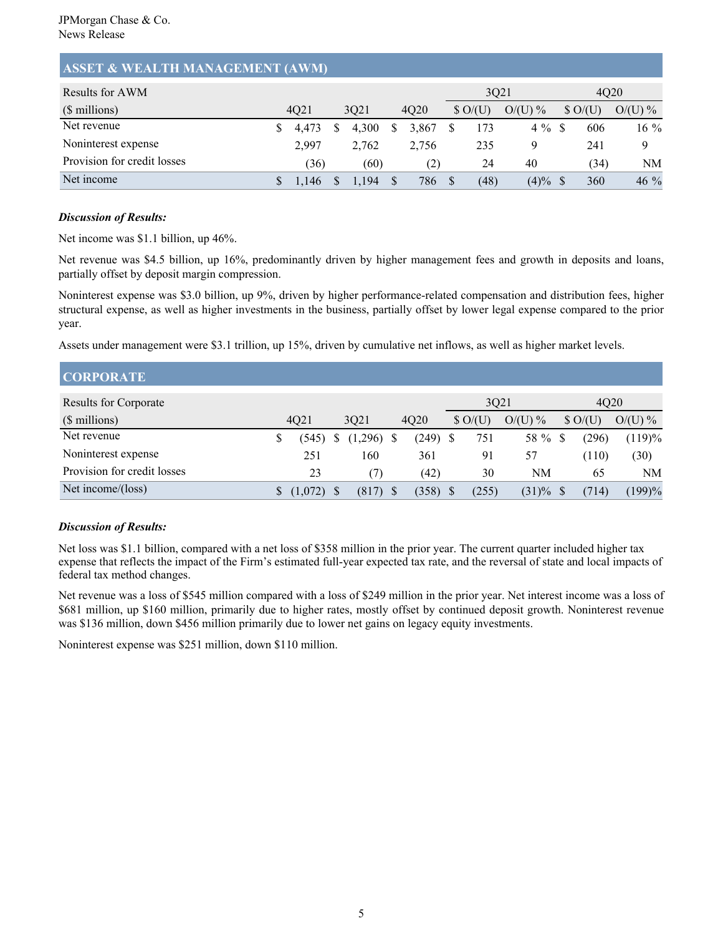## **ASSET & WEALTH MANAGEMENT (AWM)**

| Results for AWM             |       |   |       |   |       | 3021                                  |           | 4020             |           |
|-----------------------------|-------|---|-------|---|-------|---------------------------------------|-----------|------------------|-----------|
| $(S$ millions)              | 4021  |   | 3021  |   | 4Q20  | $\text{\$\Omega$}/\text{\$\text{U}$}$ | $O/(U)$ % | $\text{S}$ O/(U) | $O/(U)$ % |
| Net revenue                 | 4.473 |   | 4.300 | S | 3,867 | 173                                   | $4\%$     | 606              | $16\%$    |
| Noninterest expense         | 2,997 |   | 2,762 |   | 2,756 | 235                                   |           | 241              |           |
| Provision for credit losses | 36)   |   | (60)  |   | (2)   | 24                                    | 40        | (34)             | NΜ        |
| Net income                  | 1,146 | S | 1,194 |   | 786   | (48)                                  | (4)%      | 360              | $46\%$    |

## *Discussion of Results:*

Net income was \$1.1 billion, up 46%.

Net revenue was \$4.5 billion, up 16%, predominantly driven by higher management fees and growth in deposits and loans, partially offset by deposit margin compression.

Noninterest expense was \$3.0 billion, up 9%, driven by higher performance-related compensation and distribution fees, higher structural expense, as well as higher investments in the business, partially offset by lower legal expense compared to the prior year.

Assets under management were \$3.1 trillion, up 15%, driven by cumulative net inflows, as well as higher market levels.

| <b>CORPORATE</b>             |         |  |         |  |       |  |                  |           |                |       |           |
|------------------------------|---------|--|---------|--|-------|--|------------------|-----------|----------------|-------|-----------|
| <b>Results for Corporate</b> |         |  |         |  |       |  | 3Q21             |           |                | 4020  |           |
| (\$ millions)                | 4Q21    |  | 3021    |  | 4Q20  |  | $\text{S}$ O/(U) | $O/(U)$ % | $\text{SO}(U)$ |       | $O/(U)$ % |
| Net revenue                  | (545)   |  | (1,296) |  | (249) |  | 751              | 58 %      |                | (296) | (119)%    |
| Noninterest expense          | 251     |  | 160     |  | 361   |  | 91               | 57        |                | (110) | (30)      |
| Provision for credit losses  | 23      |  | (7)     |  | (42)  |  | 30               | NM        |                | 65    | NM        |
| Net income/(loss)            | (1,072) |  | (817)   |  | (358) |  | (255)            | (31)%     |                | (714) | 199)%     |

# *Discussion of Results:*

Net loss was \$1.1 billion, compared with a net loss of \$358 million in the prior year. The current quarter included higher tax expense that reflects the impact of the Firm's estimated full-year expected tax rate, and the reversal of state and local impacts of federal tax method changes.

Net revenue was a loss of \$545 million compared with a loss of \$249 million in the prior year. Net interest income was a loss of \$681 million, up \$160 million, primarily due to higher rates, mostly offset by continued deposit growth. Noninterest revenue was \$136 million, down \$456 million primarily due to lower net gains on legacy equity investments.

Noninterest expense was \$251 million, down \$110 million.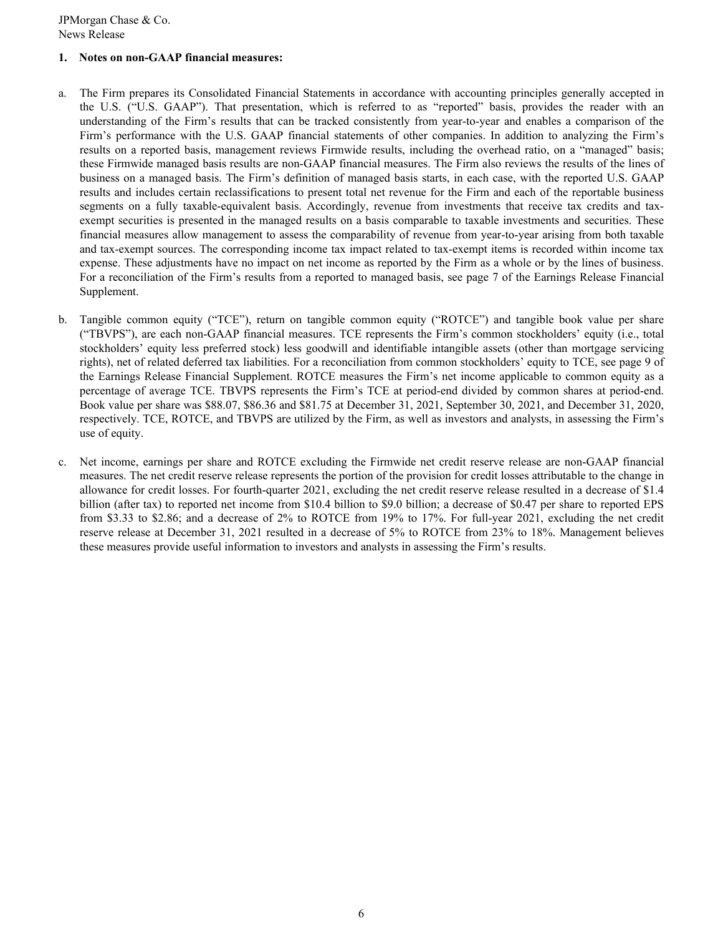### **1. Notes on non-GAAP financial measures:**

- a. The Firm prepares its Consolidated Financial Statements in accordance with accounting principles generally accepted in the U.S. ("U.S. GAAP"). That presentation, which is referred to as "reported" basis, provides the reader with an understanding of the Firm's results that can be tracked consistently from year-to-year and enables a comparison of the Firm's performance with the U.S. GAAP financial statements of other companies. In addition to analyzing the Firm's results on a reported basis, management reviews Firmwide results, including the overhead ratio, on a "managed" basis; these Firmwide managed basis results are non-GAAP financial measures. The Firm also reviews the results of the lines of business on a managed basis. The Firm's definition of managed basis starts, in each case, with the reported U.S. GAAP results and includes certain reclassifications to present total net revenue for the Firm and each of the reportable business segments on a fully taxable-equivalent basis. Accordingly, revenue from investments that receive tax credits and taxexempt securities is presented in the managed results on a basis comparable to taxable investments and securities. These financial measures allow management to assess the comparability of revenue from year-to-year arising from both taxable and tax-exempt sources. The corresponding income tax impact related to tax-exempt items is recorded within income tax expense. These adjustments have no impact on net income as reported by the Firm as a whole or by the lines of business. For a reconciliation of the Firm's results from a reported to managed basis, see page 7 of the Earnings Release Financial Supplement.
- b. Tangible common equity ("TCE"), return on tangible common equity ("ROTCE") and tangible book value per share ("TBVPS"), are each non-GAAP financial measures. TCE represents the Firm's common stockholders' equity (i.e., total stockholders' equity less preferred stock) less goodwill and identifiable intangible assets (other than mortgage servicing rights), net of related deferred tax liabilities. For a reconciliation from common stockholders' equity to TCE, see page 9 of the Earnings Release Financial Supplement. ROTCE measures the Firm's net income applicable to common equity as a percentage of average TCE. TBVPS represents the Firm's TCE at period-end divided by common shares at period-end. Book value per share was \$88.07, \$86.36 and \$81.75 at December 31, 2021, September 30, 2021, and December 31, 2020, respectively. TCE, ROTCE, and TBVPS are utilized by the Firm, as well as investors and analysts, in assessing the Firm's use of equity.
- c. Net income, earnings per share and ROTCE excluding the Firmwide net credit reserve release are non-GAAP financial measures. The net credit reserve release represents the portion of the provision for credit losses attributable to the change in allowance for credit losses. For fourth-quarter 2021, excluding the net credit reserve release resulted in a decrease of \$1.4 billion (after tax) to reported net income from \$10.4 billion to \$9.0 billion; a decrease of \$0.47 per share to reported EPS from \$3.33 to \$2.86; and a decrease of 2% to ROTCE from 19% to 17%. For full-year 2021, excluding the net credit reserve release at December 31, 2021 resulted in a decrease of 5% to ROTCE from 23% to 18%. Management believes these measures provide useful information to investors and analysts in assessing the Firm's results.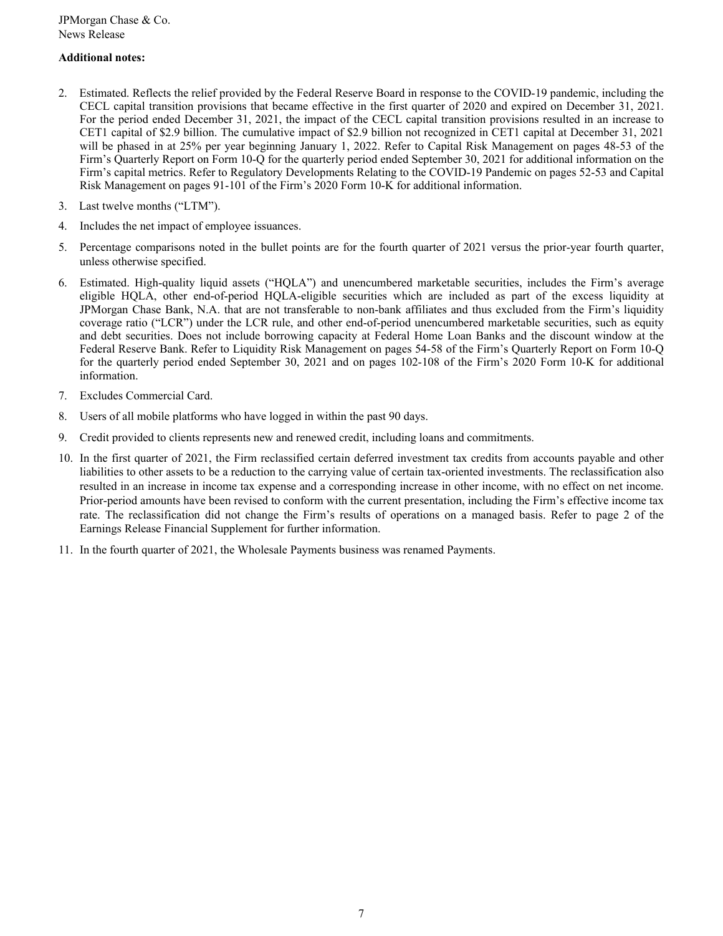## **Additional notes:**

- 2. Estimated. Reflects the relief provided by the Federal Reserve Board in response to the COVID-19 pandemic, including the CECL capital transition provisions that became effective in the first quarter of 2020 and expired on December 31, 2021. For the period ended December 31, 2021, the impact of the CECL capital transition provisions resulted in an increase to CET1 capital of \$2.9 billion. The cumulative impact of \$2.9 billion not recognized in CET1 capital at December 31, 2021 will be phased in at 25% per year beginning January 1, 2022. Refer to Capital Risk Management on pages 48-53 of the Firm's Quarterly Report on Form 10-Q for the quarterly period ended September 30, 2021 for additional information on the Firm's capital metrics. Refer to Regulatory Developments Relating to the COVID-19 Pandemic on pages 52-53 and Capital Risk Management on pages 91-101 of the Firm's 2020 Form 10-K for additional information.
- 3. Last twelve months ("LTM").
- 4. Includes the net impact of employee issuances.
- 5. Percentage comparisons noted in the bullet points are for the fourth quarter of 2021 versus the prior-year fourth quarter, unless otherwise specified.
- 6. Estimated. High-quality liquid assets ("HQLA") and unencumbered marketable securities, includes the Firm's average eligible HQLA, other end-of-period HQLA-eligible securities which are included as part of the excess liquidity at JPMorgan Chase Bank, N.A. that are not transferable to non-bank affiliates and thus excluded from the Firm's liquidity coverage ratio ("LCR") under the LCR rule, and other end-of-period unencumbered marketable securities, such as equity and debt securities. Does not include borrowing capacity at Federal Home Loan Banks and the discount window at the Federal Reserve Bank. Refer to Liquidity Risk Management on pages 54-58 of the Firm's Quarterly Report on Form 10-Q for the quarterly period ended September 30, 2021 and on pages 102-108 of the Firm's 2020 Form 10-K for additional information.
- 7. Excludes Commercial Card.
- 8. Users of all mobile platforms who have logged in within the past 90 days.
- 9. Credit provided to clients represents new and renewed credit, including loans and commitments.
- 10. In the first quarter of 2021, the Firm reclassified certain deferred investment tax credits from accounts payable and other liabilities to other assets to be a reduction to the carrying value of certain tax-oriented investments. The reclassification also resulted in an increase in income tax expense and a corresponding increase in other income, with no effect on net income. Prior-period amounts have been revised to conform with the current presentation, including the Firm's effective income tax rate. The reclassification did not change the Firm's results of operations on a managed basis. Refer to page 2 of the Earnings Release Financial Supplement for further information.
- 11. In the fourth quarter of 2021, the Wholesale Payments business was renamed Payments.